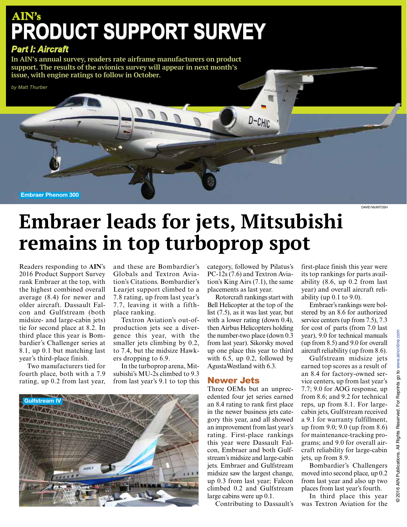## **AIN's PRODUCT SUPPORT SURVEY** *Part I: Aircraft* **PRODUCT SUPPORT SURVEY AIN's**

## *Part I: Aircraft*

**In AIN's annual survey, readers rate airframe manufacturers on product support. The results of the avionics survey will appear in next month's issue, with engine ratings to follow in October.**

*by Matt Thurber*

Embraer Phenom 300

DAVID McINTOSH

# **Embraer leads for jets, Mitsubishi remains in top turboprop spot**

Readers responding to **AIN**'s 2016 Product Support Survey rank Embraer at the top, with the highest combined overall average (8.4) for newer and older aircraft. Dassault Falcon and Gulfstream (both midsize- and large-cabin jets) tie for second place at 8.2. In third place this year is Bombardier's Challenger series at 8.1, up 0.1 but matching last year's third-place finish.

Two manufacturers tied for fourth place, both with a 7.9 rating, up 0.2 from last year,

and these are Bombardier's Globals and Textron Aviation's Citations. Bombardier's Learjet support climbed to a 7.8 rating, up from last year's 7.7, leaving it with a fifthplace ranking.

Textron Aviation's out-ofproduction jets see a divergence this year, with the smaller jets climbing by 0.2, to 7.4, but the midsize Hawkers dropping to 6.9.

In the turboprop arena, Mitsubishi's MU-2s climbed to 9.3 from last year's 9.1 to top this



category, followed by Pilatus's PC-12s (7.6) and Textron Aviation's King Airs (7.1), the same placements as last year.

Rotorcraft rankings start with Bell Helicopter at the top of the list (7.5), as it was last year, but with a lower rating (down 0.4), then Airbus Helicopters holding the number-two place (down 0.3 from last year). Sikorsky moved up one place this year to third with 6.5, up 0.2, followed by AgustaWestland with 6.3.

## Newer Jets

Three OEMs but an unprecedented four jet series earned an 8.4 rating to rank first place in the newer business jets category this year, and all showed an improvement from last year's rating. First-place rankings this year were Dassault Falcon, Embraer and both Gulfstream's midsize and large-cabin jets. Embraer and Gulfstream midsize saw the largest change, up 0.3 from last year; Falcon climbed 0.2 and Gulfstream large cabins were up 0.1.

Contributing to Dassault's

first-place finish this year were its top rankings for parts availability (8.6, up 0.2 from last year) and overall aircraft reliability (up  $0.1$  to  $9.0$ ).

Embraer's rankings were bolstered by an 8.6 for authorized service centers (up from 7.5), 7.3 for cost of parts (from 7.0 last year), 9.0 for technical manuals (up from 8.5) and 9.0 for overall aircraft reliability (up from 8.6).

Gulfstream midsize jets earned top scores as a result of an 8.4 for factory-owned service centers, up from last year's 7.7; 9.0 for AOG response, up from 8.6; and 9.2 for technical reps, up from 8.1. For largecabin jets, Gulfstream received a 9.1 for warranty fulfillment, up from 9.0; 9.0 (up from 8.6) for maintenance-tracking programs; and 9.0 for overall aircraft reliability for large-cabin jets, up from 8.9.

Bombardier's Challengers moved into second place, up 0.2 from last year and also up two places from last year's fourth.

In third place this year was Textron Aviation for the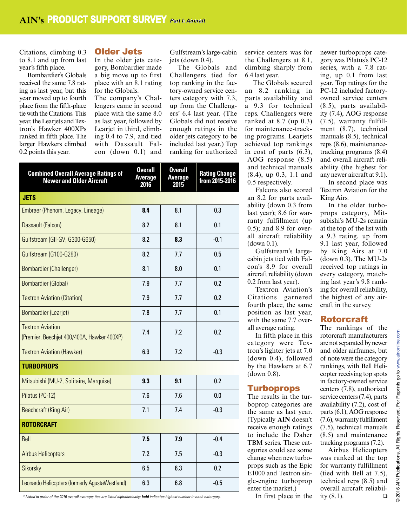Citations, climbing 0.3 to 8.1 and up from last year's fifth place.

Bombardier's Globals received the same 7.8 rating as last year, but this year moved up to fourth place from the fifth-place tie with the Citations. This year, the Learjets and Textron's Hawker 400XPs ranked in fifth place. The larger Hawkers climbed 0.2 points this year.

## Older Jets

In the older jets category, Bombardier made a big move up to first place with an 8.1 rating for the Globals. The company's Challengers came in second place with the same 8.0 as last year, followed by Learjet in third, climbing 0.4 to 7.9, and tied with Dassault Falcon (down 0.1) and

Gulfstream's large-cabin jets (down 0.4).

The Globals and Challengers tied for top ranking in the factory-owned service centers category with 7.3, up from the Challengers' 6.4 last year. (The Globals did not receive enough ratings in the older jets category to be included last year.) Top ranking for authorized

| <b>Combined Overall Average Ratings of</b><br><b>Newer and Older Aircraft</b> | <b>Overall</b><br><b>Average</b><br>2016 | <b>Overall</b><br><b>Average</b><br>2015 | <b>Rating Change</b><br>from 2015-2016 |  |  |
|-------------------------------------------------------------------------------|------------------------------------------|------------------------------------------|----------------------------------------|--|--|
| <b>JETS</b>                                                                   |                                          |                                          |                                        |  |  |
| Embraer (Phenom, Legacy, Lineage)                                             | 8.4                                      | 8.1                                      | 0.3                                    |  |  |
| Dassault (Falcon)                                                             | 8.2                                      | 8.1                                      | 0.1                                    |  |  |
| Gulfstream (GII-GV, G300-G650)                                                | 8.2                                      | 8.3                                      | $-0.1$                                 |  |  |
| Gulfstream (G100-G280)                                                        | 8.2                                      | 7.7                                      | 0.5                                    |  |  |
| Bombardier (Challenger)                                                       | 8.1                                      | 8.0                                      | 0.1                                    |  |  |
| <b>Bombardier (Global)</b>                                                    | 7.9                                      | 7.7                                      | 0.2                                    |  |  |
| <b>Textron Aviation (Citation)</b>                                            | 7.9                                      | 7.7                                      | 0.2                                    |  |  |
| <b>Bombardier (Learjet)</b>                                                   | 7.8                                      | 7.7                                      | 0.1                                    |  |  |
| <b>Textron Aviation</b><br>(Premier, Beechjet 400/400A, Hawker 400XP)         | 7.4                                      | 7.2                                      | 0.2                                    |  |  |
| <b>Textron Aviation (Hawker)</b>                                              | 6.9                                      | 7.2                                      | $-0.3$                                 |  |  |
| <b>TURBOPROPS</b>                                                             |                                          |                                          |                                        |  |  |
| Mitsubishi (MU-2, Solitaire, Marquise)                                        | 9.3                                      | 9.1                                      | 0.2                                    |  |  |
| Pilatus (PC-12)                                                               | 7.6                                      | 7.6                                      | 0.0                                    |  |  |
| Beechcraft (King Air)                                                         | 7.1                                      | 7.4                                      | $-0.3$                                 |  |  |
| <b>ROTORCRAFT</b>                                                             |                                          |                                          |                                        |  |  |
| <b>Bell</b>                                                                   | 7.5                                      | 7.9                                      | $-0.4$                                 |  |  |
| <b>Airbus Helicopters</b>                                                     | 7.2                                      | 7.5                                      | $-0.3$                                 |  |  |
| Sikorsky                                                                      | 6.5                                      | 6.3                                      | 0.2                                    |  |  |
| Leonardo Helicopters (formerly AgustaWestland)                                | 6.3                                      | 6.8                                      | $-0.5$                                 |  |  |

*\* Listed in order of the 2016 overall average; ties are listed alphabetically; bold indicates highest number in each catergory.*

service centers was for the Challengers at 8.1, climbing sharply from 6.4 last year.

The Globals secured an 8.2 ranking in parts availability and a 9.3 for technical reps. Challengers were ranked at 8.7 (up 0.3) for maintenance-tracking programs. Learjets achieved top rankings in cost of parts (6.3), AOG response (8.5) and technical manuals (8.4), up 0.3, 1.1 and 0.5 respectively.

Falcons also scored an 8.2 for parts availability (down 0.3 from last year); 8.6 for warranty fulfillment (up 0.5); and 8.9 for overall aircraft reliability (down 0.1).

Gulfstream's largecabin jets tied with Falcon's 8.9 for overall aircraft reliability (down 0.2 from last year).

Textron Aviation's Citations garnered fourth place, the same position as last year, with the same 7.7 overall average rating.

In fifth place in this category were Textron's lighter jets at 7.0 (down 0.4), followed by the Hawkers at 6.7 (down 0.8).

## Turboprops

The results in the turboprop categories are the same as last year. (Typically **AIN** doesn't receive enough ratings to include the Daher TBM series. These categories could see some change when new turboprops such as the Epic E1000 and Textron single-engine turboprop enter the market.)

In first place in the

newer turboprops category was Pilatus's PC-12 series, with a 7.8 rating, up 0.1 from last year. Top ratings for the PC-12 included factoryowned service centers (8.5), parts availability (7.4), AOG response (7.5), warranty fulfillment (8.7), technical manuals (8.5), technical reps (8.6), maintenancetracking programs (8.4) and overall aircraft reliability (the highest for any newer aircraft at 9.1). In second place was

Textron Aviation for the King Airs.

In the older turboprops category, Mitsubishi's MU-2s remain at the top of the list with a 9.3 rating, up from 9.1 last year, followed by King Airs at 7.0 (down 0.3). The MU-2s received top ratings in every category, matching last year's 9.8 ranking for overall reliability, the highest of any aircraft in the survey.

### Rotorcraft

The rankings of the rotorcraft manufacturers are not separated by newer and older airframes, but of note were the category rankings, with Bell Helicopter receiving top spots in factory-owned service centers (7.8), authorized service centers (7.4), parts availability (7.2), cost of parts (6.1), AOG response (7.6), warranty fulfillment (7.5), technical manuals (8.5) and maintenance tracking programs (7.2).

Airbus Helicopters was ranked at the top for warranty fulfillment (tied with Bell at 7.5), technical reps (8.5) and overall aircraft reliability  $(8.1)$ .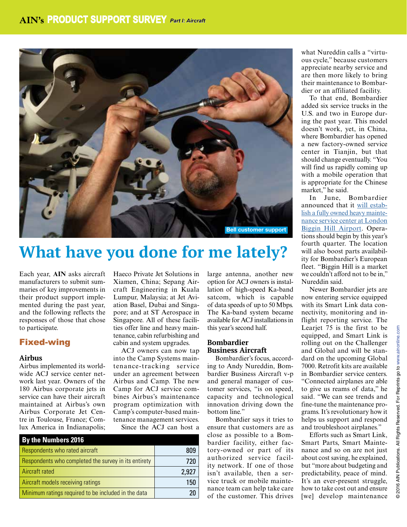

## **What have you done for me lately?**

Each year, **AIN** asks aircraft manufacturers to submit summaries of key improvements in their product support implemented during the past year, and the following reflects the responses of those that chose to participate.

## Fixed-wing

#### **Airbus**

Airbus implemented its worldwide ACJ service center network last year. Owners of the 180 Airbus corporate jets in service can have their aircraft maintained at Airbus's own Airbus Corporate Jet Centre in Toulouse, France; Comlux America in Indianapolis;

Haeco Private Jet Solutions in Xiamen, China; Sepang Aircraft Engineering in Kuala Lumpur, Malaysia; at Jet Aviation Basel, Dubai and Singapore; and at ST Aerospace in Singapore. All of these facilities offer line and heavy maintenance, cabin refurbishing and cabin and system upgrades.

ACJ owners can now tap into the Camp Systems maintenance-tracking service under an agreement between Airbus and Camp. The new Camp for ACJ service combines Airbus's maintenance program optimization with Camp's computer-based maintenance management services.

Since the ACJ can host a

| By the Numbers 2016                                  |       |  |  |  |  |
|------------------------------------------------------|-------|--|--|--|--|
| Respondents who rated aircraft                       | 809   |  |  |  |  |
| Respondents who completed the survey in its entirety | 720   |  |  |  |  |
| Aircraft rated                                       | 2,927 |  |  |  |  |
| Aircraft models receiving ratings                    | 150   |  |  |  |  |
| Minimum ratings required to be included in the data  |       |  |  |  |  |

large antenna, another new option for ACJ owners is installation of high-speed Ka-band satcom, which is capable of data speeds of up to 50 Mbps. The Ka-band system became available for ACJ installations in this year's second half.

## **Bombardier Business Aircraft**

Bombardier's focus, according to Andy Nureddin, Bombardier Business Aircraft v-p and general manager of customer services, "is on speed, capacity and technological innovation driving down the bottom line."

Bombardier says it tries to ensure that customers are as close as possible to a Bombardier facility, either factory-owned or part of its authorized service facility network. If one of those isn't available, then a service truck or mobile maintenance team can help take care of the customer. This drives what Nureddin calls a "virtuous cycle," because customers appreciate nearby service and are then more likely to bring their maintenance to Bombardier or an affiliated facility.

To that end, Bombardier added six service trucks in the U.S. and two in Europe during the past year. This model doesn't work, yet, in China, where Bombardier has opened a new factory-owned service center in Tianjin, but that should change eventually. "You will find us rapidly coming up with a mobile operation that is appropriate for the Chinese market," he said.

In June, Bombardier announced that it will establish a fully owned heavy maintenance service center at London Biggin Hill Airport. Operations should begin by this year's fourth quarter. The location will also boost parts availability for Bombardier's European fleet. "Biggin Hill is a market we couldn't afford not to be in," Nureddin said.

Newer Bombardier jets are now entering service equipped with its Smart Link data connectivity, monitoring and inflight reporting service. The Learjet 75 is the first to be equipped, and Smart Link is rolling out on the Challenger and Global and will be standard on the upcoming Global 7000. Retrofit kits are available in Bombardier service centers. "Connected airplanes are able to give us reams of data," he said. "We can see trends and fine-tune the maintenance programs. It's revolutionary how it helps us support and respond and troubleshoot airplanes."

Efforts such as Smart Link, Smart Parts, Smart Maintenance and so on are not just about cost saving, he explained, but "more about budgeting and predictability, peace of mind. It's an ever-present struggle, how to take cost out and ensure [we] develop maintenance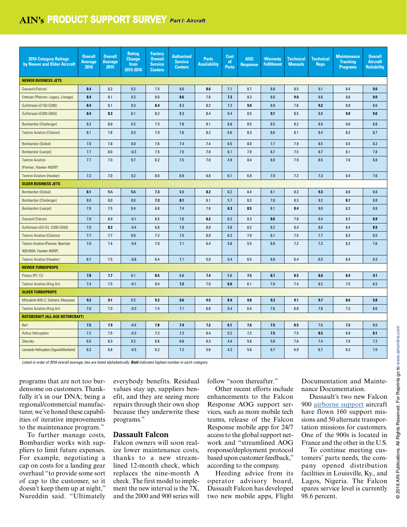## **AIN's PRODUCT SUPPORT SURVEY** *Part I: Aircraft*

| <b>2016 Category Ratings</b><br>by Newer and Older Aircraft           | <b>Overall</b><br><b>Average</b><br>2016 | <b>Overall</b><br><b>Average</b><br>2015 | Rating<br><b>Change</b><br>from<br>2015-2016 | <b>Factory</b><br><b>Owned</b><br><b>Service</b><br><b>Centers</b> | <b>Authorized</b><br><b>Service</b><br><b>Centers</b> | <b>Parts</b><br><b>Availability</b> | Cost<br><sub>of</sub><br><b>Parts</b> | AOG<br><b>Response</b> | <b>Warranty</b><br><b>Fulfillment</b> | <b>Technical</b><br><b>Manuals</b> | <b>Technical</b><br><b>Reps</b> | <b>Maintenance</b><br><b>Tracking</b><br><b>Programs</b> | <b>Overall</b><br><b>Aircraft</b><br><b>Reliability</b> |
|-----------------------------------------------------------------------|------------------------------------------|------------------------------------------|----------------------------------------------|--------------------------------------------------------------------|-------------------------------------------------------|-------------------------------------|---------------------------------------|------------------------|---------------------------------------|------------------------------------|---------------------------------|----------------------------------------------------------|---------------------------------------------------------|
| <b>NEWER BUSINESS JETS</b>                                            |                                          |                                          |                                              |                                                                    |                                                       |                                     |                                       |                        |                                       |                                    |                                 |                                                          |                                                         |
| Dassault (Falcon)                                                     | 8.4                                      | 8.2                                      | 0.2                                          | 7.5                                                                | 8.0                                                   | 8.6                                 | 7.1                                   | 8.7                    | 8.8                                   | 8.5                                | 9.1                             | 8.4                                                      | 9.0                                                     |
| Embraer (Phenom, Legacy, Lineage)                                     | 8.4                                      | 8.1                                      | 0.3                                          | 8.0                                                                | 8.6                                                   | 7.8                                 | 7.3                                   | 8.3                    | 8.8                                   | 9.0                                | 8.8                             | 8.8                                                      | 9.0                                                     |
| Gulfstream (G150-G280)                                                | 8.4                                      | 8.1                                      | 0.3                                          | 8.4                                                                | 8.3                                                   | 8.2                                 | 7.2                                   | 9.0                    | 8.9                                   | 7.6                                | 9.2                             | 8.9                                                      | 8.6                                                     |
| Gulfstream (G300-G650)                                                | 8.4                                      | 8.3                                      | 0.1                                          | 8.2                                                                | 8.3                                                   | 8.4                                 | 6.4                                   | 8.5                    | 9.1                                   | 8.5                                | 8.8                             | 9.0                                                      | 9.0                                                     |
| Bombardier (Challenger)                                               | 8.2                                      | 8.0                                      | 0.2                                          | 7.3                                                                | 7.8                                                   | 8.1                                 | 6.8                                   | 8.5                    | 8.5                                   | 8.2                                | 8.9                             | 8.6                                                      | 8.8                                                     |
| <b>Textron Aviation (Citation)</b>                                    | 8.1                                      | 7.8                                      | 0.3                                          | 7.9                                                                | 7.6                                                   | 8.2                                 | 6.6                                   | 8.3                    | 8.6                                   | 8.1                                | 8.4                             | 8.2                                                      | 8.7                                                     |
| Bombardier (Global)                                                   | 7.8                                      | 7.8                                      | 0.0                                          | 7.6                                                                | 7.4                                                   | 7.4                                 | 6.5                                   | 8.0                    | 7.7                                   | 7.9                                | 8.5                             | 8.5                                                      | 8.2                                                     |
| <b>Bombardier (Learjet)</b>                                           | 7.7                                      | 8.0                                      | $-0.3$                                       | 7.5                                                                | 7.5                                                   | 7.8                                 | 6.1                                   | 7.9                    | 8.7                                   | 7.5                                | 8.7                             | 8.1                                                      | 7.8                                                     |
| <b>Textron Aviation</b>                                               | 7.7                                      | 7.0                                      | 0.7                                          | 8.2                                                                | 7.5                                                   | 7.0                                 | 4.9                                   | 8.4                    | 8.0                                   | 7.9                                | 8.5                             | 7.8                                                      | 8.8                                                     |
| (Premier, Hawker 400XP)                                               |                                          |                                          |                                              |                                                                    |                                                       |                                     |                                       |                        |                                       |                                    |                                 |                                                          |                                                         |
| <b>Textron Aviation (Hawker)</b>                                      | 7.2                                      | 7.0                                      | 0.2                                          | 8.0                                                                | 6.9                                                   | 6.8                                 | 6.1                                   | 6.9                    | 7.9                                   | 7.2                                | 7.3                             | 8.4                                                      | 7.6                                                     |
| <b>OLDER BUSINESS JETS</b>                                            |                                          |                                          |                                              |                                                                    |                                                       |                                     |                                       |                        |                                       |                                    |                                 |                                                          |                                                         |
| Bombardier (Global)                                                   | 8.1                                      | <b>NA</b>                                | <b>NA</b>                                    | 7.3                                                                | 8.0                                                   | 8.2                                 | 6.2                                   | 8.4                    | 8.1                                   | 8.3                                | 9.3                             | 8.6                                                      | 8.8                                                     |
| Bombardier (Challenger)                                               | 8.0                                      | 8.0                                      | 0.0                                          | 7.3                                                                | 8.1                                                   | 8.1                                 | 5.7                                   | 8.3                    | 7.8                                   | 8.3                                | 9.2                             | 8.7                                                      | 8.8                                                     |
| <b>Bombardier (Learjet)</b>                                           | 7.9                                      | 7.5                                      | 0.4                                          | 6.8                                                                | 7.4                                                   | 7.6                                 | 6.3                                   | 8.5                    | 8.1                                   | 8.4                                | 9.0                             | 8.3                                                      | 8.8                                                     |
| Dassault (Falcon)                                                     | 7.9                                      | 8.0                                      | $-0.1$                                       | 6.5                                                                | 7.6                                                   | 8.2                                 | 6.2                                   | 8.3                    | 8.6                                   | 7.8                                | 8.4                             | 8.3                                                      | 8.9                                                     |
| Gulfstream (GII-GV, G300-G550)                                        | 7.9                                      | 8.3                                      | $-0.4$                                       | 6.8                                                                | 7.8                                                   | 8.0                                 | 5.8                                   | 8.2                    | 8.2                                   | 8.4                                | 8.6                             | 8.4                                                      | 8.9                                                     |
| <b>Textron Aviation (Citation)</b>                                    | 7.7                                      | 7.7                                      | 0.0                                          | 7.2                                                                | 7.5                                                   | 8.0                                 | 6.2                                   | 7.9                    | 8.1                                   | 7.5                                | 7.7                             | 8.3                                                      | 8.5                                                     |
| <b>Textron Aviation (Premier, Beechjet</b><br>400/400A, Hawker 400XP) | 7.0                                      | 7.4                                      | $-0.4$                                       | 7.0                                                                | 7.1                                                   | 6.4                                 | 5.8                                   | 5.5                    | 8.0                                   | 7.2                                | 7.3                             | 8.2                                                      | 7.6                                                     |
| <b>Textron Aviation (Hawker)</b>                                      | 6.7                                      | 7.5                                      | $-0.8$                                       | 6.4                                                                | 7.1                                                   | 5.9                                 | 5.4                                   | 6.5                    | 6.8                                   | 6.4                                | 6.5                             | 8.4                                                      | 8.3                                                     |
| <b>NEWER TURBOPROPS</b>                                               |                                          |                                          |                                              |                                                                    |                                                       |                                     |                                       |                        |                                       |                                    |                                 |                                                          |                                                         |
| Pilatus (PC-12)                                                       | 7.8                                      | 7.7                                      | 0.1                                          | 8.5                                                                | 6.8                                                   | 7.4                                 | 5.6                                   | 7.5                    | 8.7                                   | 8.5                                | 8.6                             | 8.4                                                      | 9.1                                                     |
| <b>Textron Aviation (King Air)</b>                                    | 7.4                                      | 7.5                                      | $-0.1$                                       | 8.4                                                                | 7.2                                                   | 7.0                                 | 6.0                                   | 6.1                    | 7.9                                   | 7.4                                | 8.2                             | 7.5                                                      | 8.2                                                     |
| <b>OLDER TURBOPROPS</b>                                               |                                          |                                          |                                              |                                                                    |                                                       |                                     |                                       |                        |                                       |                                    |                                 |                                                          |                                                         |
| Mitsubishi (MU-2, Solitaire, Marquise)                                | 9.3                                      | 9.1                                      | 0.2                                          | 9.2                                                                | 9.6                                                   | 9.5                                 | 8.4                                   | 9.8                    | 9.3                                   | 9.1                                | 9.7                             | 8.6                                                      | 9.8                                                     |
| <b>Textron Aviation (King Air)</b>                                    | 7.0                                      | 7.3                                      | $-0.3$                                       | 7.4                                                                | 7.1                                                   | 6.8                                 | 5.4                                   | 6.4                    | 7.6                                   | 6.8                                | 7.8                             | 7.3                                                      | 8.6                                                     |
| ROTORCRAFT (ALL AGE ROTORCRAFT)                                       |                                          |                                          |                                              |                                                                    |                                                       |                                     |                                       |                        |                                       |                                    |                                 |                                                          |                                                         |
| Bell                                                                  | 7.5                                      | 7.9                                      | $-0.4$                                       | 7.8                                                                | 7.4                                                   | 7.2                                 | 6.1                                   | 7.6                    | 7.5                                   | 8.5                                | 7.6                             | 7.2                                                      | 8.0                                                     |
| <b>Airbus Helicopters</b>                                             | 7.2                                      | 7.5                                      | $-0.3$                                       | 7.2                                                                | 7.2                                                   | 6.4                                 | 5.2                                   | 7.2                    | 7.5                                   | 7.5                                | 8.5                             | 6.8                                                      | 8.1                                                     |
| Sikorsky                                                              | 6.5                                      | 6.3                                      | 0.2                                          | 6.6                                                                | 6.8                                                   | 6.3                                 | 4.4                                   | 5.8                    | 5.8                                   | 7.6                                | 7.4                             | 7.0                                                      | 7.2                                                     |
| Leonardo Helicopters (AgustaWestland)                                 | 6.3                                      | 6.8                                      | $-0.5$                                       | 6.2                                                                | 7.2                                                   | 5.6                                 | 4.3                                   | 5.6                    | 6.7                                   | 6.9                                | 6.7                             | 6.3                                                      | 7.0                                                     |

*Listed in order of 2016 overall average; ties are listed alphabetically. Bold indicates highest number in each category.*

programs that are not too burdensome on customers. Thankfully it's in our DNA; being a regional/commercial manufacturer, we've honed these capabilities of iterative improvements to the maintenance program."

To further manage costs, Bombardier works with suppliers to limit future expenses. For example, negotiating a cap on costs for a landing gear overhaul "to provide some sort of cap to the customer, so it doesn't keep them up at night," Nureddin said. "Ultimately everybody benefits. Residual values stay up, suppliers benefit, and they are seeing more repairs through their own shop because they underwrite these programs."

#### **Dassault Falcon**

Falcon owners will soon realize lower maintenance costs, thanks to a new streamlined 12-month check, which replaces the nine-month A check. The first model to implement the new interval is the 7X, and the 2000 and 900 series will

follow "soon thereafter."

Other recent efforts include enhancements to the Falcon Response AOG support services, such as more mobile tech teams, release of the Falcon Response mobile app for 24/7 access to the global support network and "streamlined AOG response/deployment protocol based upon customer feedback," according to the company.

Heeding advice from its operator advisory board, Dassault Falcon has developed two new mobile apps, Flight Documentation and Maintenance Documentation.

Dassault's two new Falcon 900 airborne support aircraft have flown 160 support missions and 50 alternate transportation missions for customers. One of the 900s is located in France and the other in the U.S.

To continue meeting customers' parts needs, the company opened distribution facilities in Louisville, Ky., and Lagos, Nigeria. The Falcon spares service level is currently 98.6 percent.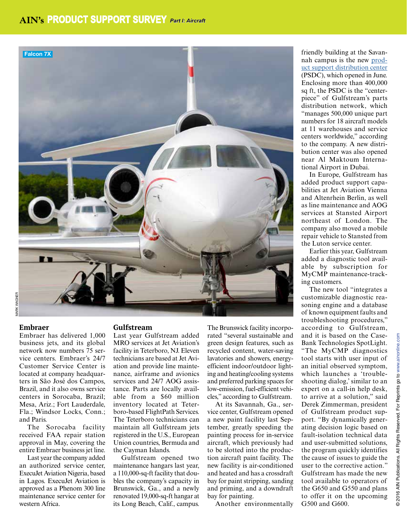## **AIN's PRODUCT SUPPORT SURVEY** *Part I: Aircraft*



## **Embraer**

Embraer has delivered 1,000 business jets, and its global network now numbers 75 service centers. Embraer's 24/7 Customer Service Center is located at company headquarters in São José dos Campos, Brazil, and it also owns service centers in Sorocaba, Brazil; Mesa, Ariz.; Fort Lauderdale, Fla.; Windsor Locks, Conn.; and Paris.

The Sorocaba facility received FAA repair station approval in May, covering the entire Embraer business jet line.

Last year the company added an authorized service center, ExecuJet Aviation Nigeria, based in Lagos. ExecuJet Aviation is approved as a Phenom 300 line maintenance service center for western Africa.

## **Gulfstream**

Last year Gulfstream added MRO services at Jet Aviation's facility in Teterboro, NJ. Eleven technicians are based at Jet Aviation and provide line maintenance, airframe and avionics services and 24/7 AOG assistance. Parts are locally available from a \$60 million inventory located at Teterboro-based FlightPath Services. The Teterboro technicians can maintain all Gulfstream jets registered in the U.S., European Union countries, Bermuda and the Cayman Islands.

Gulfstream opened two maintenance hangars last year, a 110,000-sq-ft facility that doubles the company's capacity in Brunswick, Ga., and a newly renovated 19,000-sq-ft hangar at its Long Beach, Calif., campus.

The Brunswick facility incorporated "several sustainable and green design features, such as recycled content, water-saving lavatories and showers, energyefficient indoor/outdoor lighting and heating/cooling systems and preferred parking spaces for low-emission, fuel-efficient vehicles," according to Gulfstream.

At its Savannah, Ga., service center, Gulfstream opened a new paint facility last September, greatly speeding the painting process for in-service aircraft, which previously had to be slotted into the production aircraft paint facility. The new facility is air-conditioned and heated and has a crossdraft bay for paint stripping, sanding and priming, and a downdraft bay for painting.

Another environmentally

friendly building at the Savannah campus is the new product support distribution center (PSDC), which opened in June. Enclosing more than 400,000 sq ft, the PSDC is the "centerpiece" of Gulfstream's parts distribution network, which "manages 500,000 unique part numbers for 18 aircraft models at 11 warehouses and service centers worldwide," according to the company. A new distribution center was also opened near Al Maktoum International Airport in Dubai.

In Europe, Gulfstream has added product support capabilities at Jet Aviation Vienna and Altenrhein Berlin, as well as line maintenance and AOG services at Stansted Airport northeast of London. The company also moved a mobile repair vehicle to Stansted from the Luton service center.

Earlier this year, Gulfstream added a diagnostic tool available by subscription for MyCMP maintenance-tracking customers.

The new tool "integrates a customizable diagnostic reasoning engine and a database of known equipment faults and troubleshooting procedures," according to Gulfstream, and it is based on the Case-Bank Technologies SpotLight. "The MyCMP diagnostics tool starts with user input of an initial observed symptom, which launches a 'troubleshooting dialog,' similar to an expert on a call-in help desk, to arrive at a solution," said Derek Zimmerman, president of Gulfstream product support. "By dynamically generating decision logic based on fault-isolation technical data and user-submitted solutions, the program quickly identifies the cause of issues to guide the user to the corrective action." Gulfstream has made the new tool available to operators of the G650 and G550 and plans to offer it on the upcoming G500 and G600.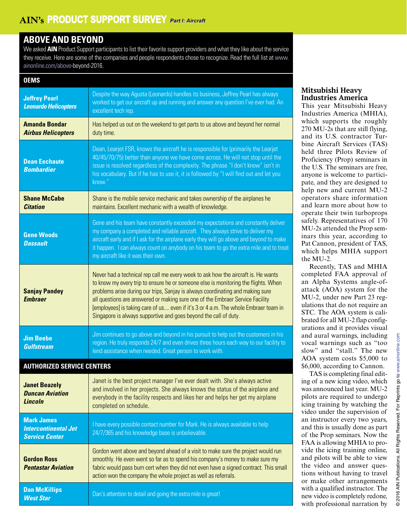## **ABOVE AND BEYOND**

We asked **AIN** Product Support participants to list their favorite support providers and what they like about the service they receive. Here are some of the companies and people respondents chose to recognize. Read the full list at www. ainonline.com/above-beyond-2016.

| <b>OEMS</b>                                                               |                                                                                                                                                                                                                                                                                                                                                                                                                                                                                                       |
|---------------------------------------------------------------------------|-------------------------------------------------------------------------------------------------------------------------------------------------------------------------------------------------------------------------------------------------------------------------------------------------------------------------------------------------------------------------------------------------------------------------------------------------------------------------------------------------------|
| <b>Jeffrey Pearl</b><br><b>Leonardo Helicopters</b>                       | Despite the way Agusta (Leonardo) handles its business, Jeffrey Pearl has always<br>worked to get our aircraft up and running and answer any question I've ever had. An<br>excellent tech rep.                                                                                                                                                                                                                                                                                                        |
| <b>Amanda Bondar</b><br><b>Airbus Helicopters</b>                         | Has helped us out on the weekend to get parts to us above and beyond her normal<br>duty time.                                                                                                                                                                                                                                                                                                                                                                                                         |
| <b>Dean Eechaute</b><br><b>Bombardier</b>                                 | Dean, Learjet FSR, knows the aircraft he is responsible for (primarily the Learjet<br>40/45/70/75) better than anyone we have come across. He will not stop until the<br>issue is resolved regardless of the complexity. The phrase "I don't know" isn't in<br>his vocabulary. But if he has to use it, it is followed by "I will find out and let you<br>know."                                                                                                                                      |
| <b>Shane McCabe</b><br><b>Citation</b>                                    | Shane is the mobile service mechanic and takes ownership of the airplanes he<br>maintains. Excellent mechanic with a wealth of knowledge.                                                                                                                                                                                                                                                                                                                                                             |
| <b>Gene Woods</b><br><b>Dassault</b>                                      | Gene and his team have constantly exceeded my expectations and constantly deliver<br>my company a completed and reliable aircraft. They always strive to deliver my<br>aircraft early and if I ask for the airplane early they will go above and beyond to make<br>it happen. I can always count on anybody on his team to go the extra mile and to treat<br>my aircraft like it was their own.                                                                                                       |
| <b>Sanjay Pandey</b><br><b>Embraer</b>                                    | Never had a technical rep call me every week to ask how the aircraft is. He wants<br>to know my every trip to ensure he or someone else is monitoring the flights. When<br>problems arise during our trips, Sanjay is always coordinating and making sure<br>all questions are answered or making sure one of the Embraer Service Facility<br>[employees] is taking care of us even if it's 3 or 4 a.m. The whole Embraer team in<br>Singapore is always supportive and goes beyond the call of duty. |
| <b>Jim Beebe</b><br><b>Gulfstream</b>                                     | Jim continues to go above and beyond in his pursuit to help out the customers in his<br>region. He truly responds 24/7 and even drives three hours each way to our facility to<br>lend assistance when needed. Great person to work with.                                                                                                                                                                                                                                                             |
| <b>AUTHORIZED SERVICE CENTERS</b>                                         |                                                                                                                                                                                                                                                                                                                                                                                                                                                                                                       |
| <b>Janet Beazely</b><br><b>Duncan Aviation</b><br><b>Lincoln</b>          | Janet is the best project manager I've ever dealt with. She's always active<br>and involved in her projects. She always knows the status of the airplane and<br>everybody in the facility respects and likes her and helps her get my airplane<br>completed on schedule.                                                                                                                                                                                                                              |
| <b>Mark James</b><br><b>Intercontinental Jet</b><br><b>Service Center</b> | I have every possible contact number for Mark. He is always available to help<br>24/7/365 and his knowledge base is unbelievable.                                                                                                                                                                                                                                                                                                                                                                     |
| <b>Gordon Ross</b><br><b>Pentastar Aviation</b>                           | Gordon went above and beyond ahead of a visit to make sure the project would run<br>smoothly. He even went so far as to spend his company's money to make sure my<br>fabric would pass burn cert when they did not even have a signed contract. This small<br>action won the company the whole project as well as referrals.                                                                                                                                                                          |
| <b>Dan McKillips</b><br><b>West Star</b>                                  | Dan's attention to detail and going the extra mile is great!                                                                                                                                                                                                                                                                                                                                                                                                                                          |

## **Mitsubishi Heavy Industries America**

This year Mitsubishi Heavy Industries America (MHIA), which supports the roughly 270 MU-2s that are still flying, and its U.S. contractor Turbine Aircraft Services (TAS) held three Pilots Review of Proficiency (Prop) seminars in the U.S. The seminars are free, anyone is welcome to participate, and they are designed to help new and current MU-2 operators share information and learn more about how to operate their twin turboprops safely. Representatives of 170 MU-2s attended the Prop seminars this year, according to Pat Cannon, president of TAS, which helps MHIA support the MU-2.

Recently, TAS and MHIA completed FAA approval of an Alpha Systems angle-ofattack (AOA) system for the MU-2, under new Part 23 regulations that do not require an STC. The AOA system is calibrated for all MU-2 flap configurations and it provides visual and aural warnings, including vocal warnings such as "too slow" and "stall." The new AOA system costs \$5,000 to \$6,000, according to Cannon.

TAS is completing final editing of a new icing video, which was announced last year. MU-2 pilots are required to undergo icing training by watching the video under the supervision of an instructor every two years, and this is usually done as part of the Prop seminars. Now the FAA is allowing MHIA to provide the icing training online, and pilots will be able to view the video and answer questions without having to travel or make other arrangements with a qualified instructor. The new video is completely redone, with professional narration by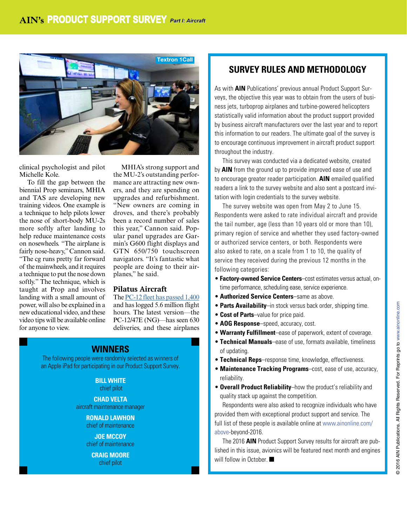

clinical psychologist and pilot Michelle Kole.

To fill the gap between the biennial Prop seminars, MHIA and TAS are developing new training videos. One example is a technique to help pilots lower the nose of short-body MU-2s more softly after landing to help reduce maintenance costs on nosewheels. "The airplane is fairly nose-heavy," Cannon said. "The cg runs pretty far forward

of the mainwheels, and it requires a technique to put the nose down softly." The technique, which is taught at Prop and involves landing with a small amount of power, will also be explained in a new educational video, and these video tips will be available online for anyone to view.

MHIA's strong support and the MU-2's outstanding performance are attracting new owners, and they are spending on upgrades and refurbishment. "New owners are coming in droves, and there's probably been a record number of sales this year," Cannon said. Popular panel upgrades are Garmin's G600 flight displays and GTN 650/750 touchscreen navigators. "It's fantastic what people are doing to their airplanes," he said.

## **Pilatus Aircraft**

The PC-12 fleet has passed 1,400 and has logged 5.6 million flight hours. The latest version—the PC-12/47E (NG)—has seen 630 deliveries, and these airplanes

## **WINNERS**

The following people were randomly selected as winners of an Apple iPad for participating in our Product Support Survey.

## **BILL WHITE**

chief pilot

**CHAD VELTA** aircraft maintenance manager

#### **RONALD LAWHON**  chief of maintenance

**JOE MCCOY** chief of maintenance

**CRAIG MOORE** chief pilot

## **SURVEY RULES AND METHODOLOGY**

As with **AIN** Publications' previous annual Product Support Surveys, the objective this year was to obtain from the users of business jets, turboprop airplanes and turbine-powered helicopters statistically valid information about the product support provided by business aircraft manufacturers over the last year and to report this information to our readers. The ultimate goal of the survey is to encourage continuous improvement in aircraft product support throughout the industry.

This survey was conducted via a dedicated website, created by **AIN** from the ground up to provide improved ease of use and to encourage greater reader participation. **AIN** emailed qualified readers a link to the survey website and also sent a postcard invitation with login credentials to the survey website.

The survey website was open from May 2 to June 15. Respondents were asked to rate individual aircraft and provide the tail number, age (less than 10 years old or more than 10), primary region of service and whether they used factory-owned or authorized service centers, or both. Respondents were also asked to rate, on a scale from 1 to 10, the quality of service they received during the previous 12 months in the following categories:

- **Factory-owned Service Centers**–cost estimates versus actual, ontime performance, scheduling ease, service experience.
- **Authorized Service Centers**–same as above.
- **Parts Availability**–in stock versus back order, shipping time.
- **Cost of Parts**–value for price paid.
- **AOG Response**–speed, accuracy, cost.
- **Warranty Fulfillment**–ease of paperwork, extent of coverage.
- **Technical Manuals**–ease of use, formats available, timeliness of updating.
- **Technical Reps**–response time, knowledge, effectiveness.
- **Maintenance Tracking Programs**–cost, ease of use, accuracy, reliability.
- **Overall Product Reliability**–how the product's reliability and quality stack up against the competition.

Respondents were also asked to recognize individuals who have provided them with exceptional product support and service. The full list of these people is available online at www.ainonline.com/ above-beyond-2016.

The 2016 **AIN** Product Support Survey results for aircraft are published in this issue, avionics will be featured next month and engines will follow in October.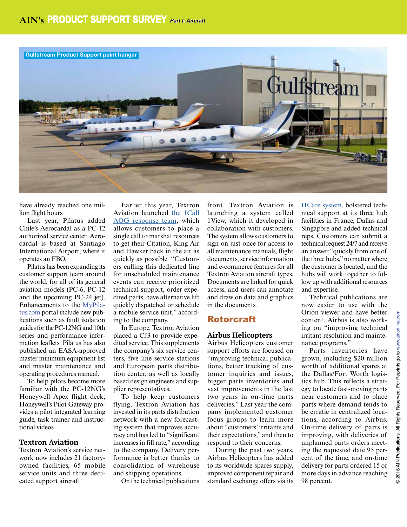

have already reached one million flight hours.

Last year, Pilatus added Chile's Aerocardal as a PC-12 authorized service center. Aerocardal is based at Santiago International Airport, where it operates an FBO.

Pilatus has been expanding its customer support team around the world, for all of its general aviation models (PC-6, PC-12 and the upcoming PC-24 jet). Enhancements to the MyPilatus.com portal include new publications such as fault isolation guides for the PC-12NG and 10th series and performance information leaflets. Pilatus has also published an EASA-approved master minimum equipment list and master maintenance and operating procedures manual.

To help pilots become more familiar with the PC-12NG's Honeywell Apex flight deck, Honeywell's Pilot Gateway provides a pilot integrated learning guide, task trainer and instructional videos.

#### **Textron Aviation**

Textron Aviation's service network now includes 21 factoryowned facilities, 65 mobile service units and three dedicated support aircraft.

Earlier this year, Textron Aviation launched the 1Call AOG response team, which allows customers to place a single call to marshal resources to get their Citation, King Air and Hawker back in the air as quickly as possible. "Customers calling this dedicated line for unscheduled maintenance events can receive prioritized technical support, order expedited parts, have alternative lift quickly dispatched or schedule a mobile service unit," according to the company.

In Europe, Textron Aviation placed a CJ3 to provide expedited service. This supplements the company's six service centers, five line service stations and European parts distribution center, as well as locally based design engineers and supplier representatives.

To help keep customers flying, Textron Aviation has invested in its parts distribution network with a new forecasting system that improves accuracy and has led to "significant increases in fill rate," according to the company. Delivery performance is better thanks to consolidation of warehouse and shipping operations.

On the technical publications

front, Textron Aviation is launching a system called 1View, which it developed in collaboration with customers. The system allows customers to sign on just once for access to all maintenance manuals, flight documents, service information and e-commerce features for all Textron Aviation aircraft types. Documents are linked for quick access, and users can annotate and draw on data and graphics in the documents.

## Rotorcraft

## **Airbus Helicopters**

Airbus Helicopters customer support efforts are focused on "improving technical publications, better tracking of customer inquiries and issues, bigger parts inventories and vast improvements in the last two years in on-time parts deliveries." Last year the company implemented customer focus groups to learn more about "customers' irritants and their expectations," and then to respond to their concerns.

During the past two years, Airbus Helicopters has added to its worldwide spares supply, improved component repair and standard exchange offers via its HCare system, bolstered technical support at its three hub facilities in France, Dallas and Singapore and added technical reps. Customers can submit a technical request 24/7 and receive an answer "quickly from one of the three hubs," no matter where the customer is located, and the hubs will work together to follow up with additional resources and expertise.

Technical publications are now easier to use with the Orion viewer and have better content. Airbus is also working on "improving technical irritant resolution and maintenance programs."

Parts inventories have grown, including \$20 million worth of additional spares at the Dallas/Fort Worth logistics hub. This reflects a strategy to locate fast-moving parts near customers and to place parts where demand tends to be erratic in centralized locations, according to Airbus. On-time delivery of parts is improving, with deliveries of unplanned parts orders meeting the requested date 95 percent of the time, and on-time delivery for parts ordered 15 or more days in advance reaching 98 percent.